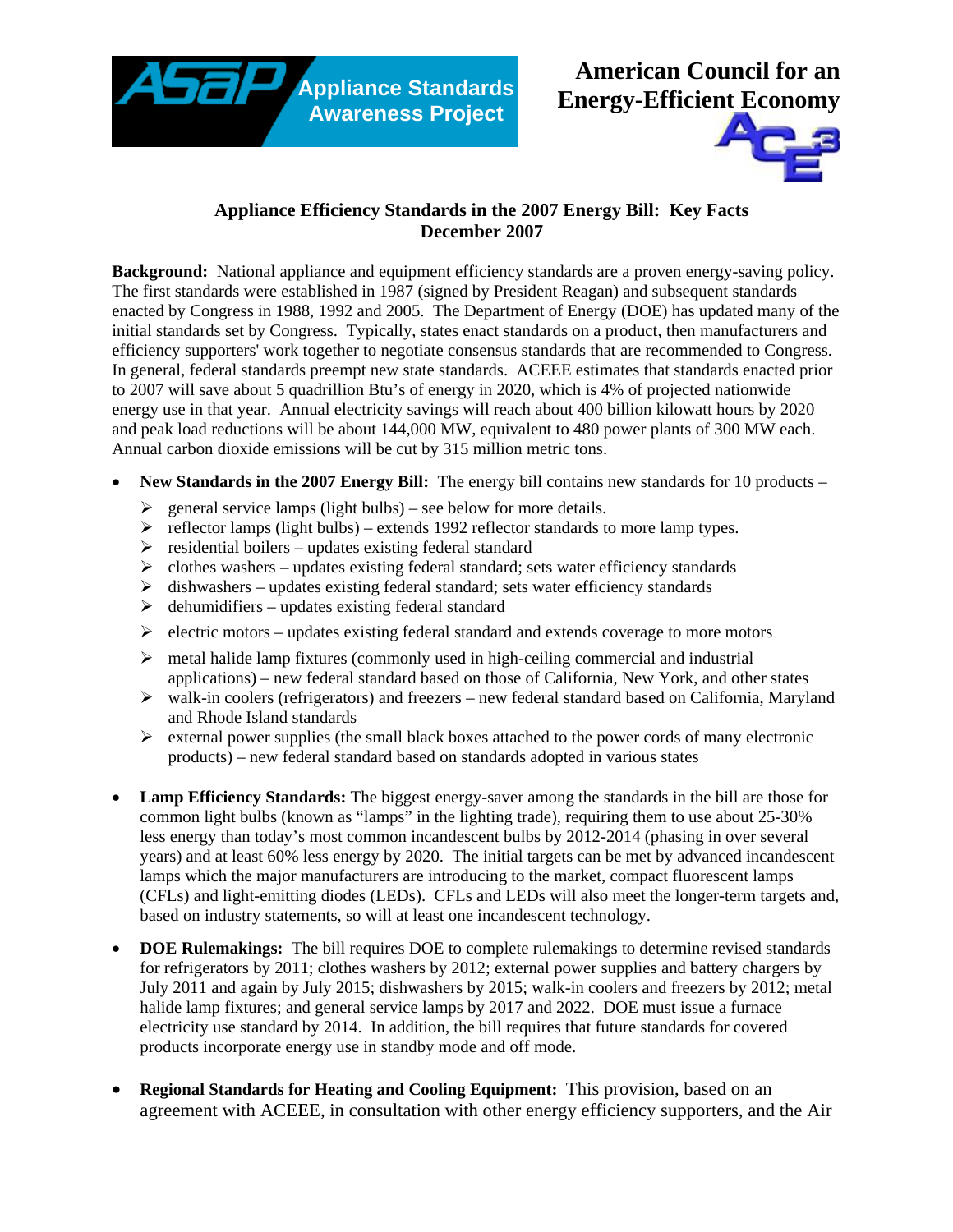**Appliance Standards Awareness Project** 





## **Appliance Efficiency Standards in the 2007 Energy Bill: Key Facts December 2007**

**Background:** National appliance and equipment efficiency standards are a proven energy-saving policy. The first standards were established in 1987 (signed by President Reagan) and subsequent standards enacted by Congress in 1988, 1992 and 2005. The Department of Energy (DOE) has updated many of the initial standards set by Congress. Typically, states enact standards on a product, then manufacturers and efficiency supporters' work together to negotiate consensus standards that are recommended to Congress. In general, federal standards preempt new state standards. ACEEE estimates that standards enacted prior to 2007 will save about 5 quadrillion Btu's of energy in 2020, which is 4% of projected nationwide energy use in that year. Annual electricity savings will reach about 400 billion kilowatt hours by 2020 and peak load reductions will be about 144,000 MW, equivalent to 480 power plants of 300 MW each. Annual carbon dioxide emissions will be cut by 315 million metric tons.

- **New Standards in the 2007 Energy Bill:** The energy bill contains new standards for 10 products
	- $\geq$  general service lamps (light bulbs) see below for more details.
	- $\triangleright$  reflector lamps (light bulbs) extends 1992 reflector standards to more lamp types.
	- $\triangleright$  residential boilers updates existing federal standard
	- $\triangleright$  clothes washers updates existing federal standard; sets water efficiency standards
	- $\triangleright$  dishwashers updates existing federal standard; sets water efficiency standards
	- $\triangleright$  dehumidifiers updates existing federal standard
	- $\triangleright$  electric motors updates existing federal standard and extends coverage to more motors
	- $\triangleright$  metal halide lamp fixtures (commonly used in high-ceiling commercial and industrial applications) – new federal standard based on those of California, New York, and other states
	- $\triangleright$  walk-in coolers (refrigerators) and freezers new federal standard based on California, Maryland and Rhode Island standards
	- $\triangleright$  external power supplies (the small black boxes attached to the power cords of many electronic products) – new federal standard based on standards adopted in various states
- **Lamp Efficiency Standards:** The biggest energy-saver among the standards in the bill are those for common light bulbs (known as "lamps" in the lighting trade), requiring them to use about 25-30% less energy than today's most common incandescent bulbs by 2012-2014 (phasing in over several years) and at least 60% less energy by 2020. The initial targets can be met by advanced incandescent lamps which the major manufacturers are introducing to the market, compact fluorescent lamps (CFLs) and light-emitting diodes (LEDs). CFLs and LEDs will also meet the longer-term targets and, based on industry statements, so will at least one incandescent technology.
- **DOE Rulemakings:** The bill requires DOE to complete rulemakings to determine revised standards for refrigerators by 2011; clothes washers by 2012; external power supplies and battery chargers by July 2011 and again by July 2015; dishwashers by 2015; walk-in coolers and freezers by 2012; metal halide lamp fixtures; and general service lamps by 2017 and 2022. DOE must issue a furnace electricity use standard by 2014. In addition, the bill requires that future standards for covered products incorporate energy use in standby mode and off mode.
- **Regional Standards for Heating and Cooling Equipment:** This provision, based on an agreement with ACEEE, in consultation with other energy efficiency supporters, and the Air